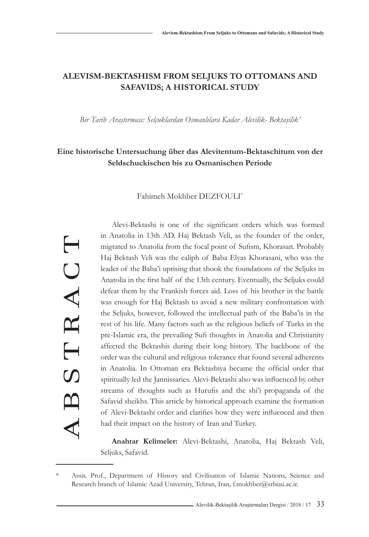# **ALEVISM-BEKTASHISM FROM SELJUKS TO OTTOMANS AND SAFAVIDS; A HISTORICAL STUDY**

*Bir Tarih Araştırması: Selçuklardan Osmanlılara Kadar Alevilik- Bektaşilik'*

# **Eine historische Untersuchung über das Alevitentum-Bektaschitum von der Seldschuckischen bis zu Osmanischen Periode**

Fahimeh Mokhber DEZFOULI\*

ABSTRACT TRACT  $\overline{C}$ A B

Alevi-Bektashi is one of the significant orders which was formed in Anatolia in 13th AD. Haj Bektash Veli, as the founder of the order, migrated to Anatolia from the focal point of Sufism, Khorasan. Probably Haj Bektash Veli was the caliph of Baba Elyas Khorasani, who was the leader of the Baba'i uprising that shook the foundations of the Seljuks in Anatolia in the first half of the 13th century. Eventually, the Seljuks could defeat them by the Frankish forces aid. Loss of his brother in the battle was enough for Haj Bektash to avoid a new military confrontation with the Seljuks, however, followed the intellectual path of the Baba'is in the rest of his life. Many factors such as the religious beliefs of Turks in the pre-Islamic era, the prevailing Sufi thoughts in Anatolia and Christianity affected the Bektashis during their long history. The backbone of the order was the cultural and religious tolerance that found several adherents in Anatolia. In Ottoman era Bektashiya became the official order that spiritually led the Jannissaries. Alevi-Bektashi also was influenced by other streams of thoughts such as Hurufis and the shi'i propaganda of the Safavid sheikhs. This article by historical approach examine the formation of Alevi-Bektashi order and clarifies how they were influenced and then had their impact on the history of Iran and Turkey.

**Anahtar Kelimeler:** Alevi-Bektashi, Anatolia, Haj Bektash Veli, Seljuks, Safavid.

Assis. Prof., Department of History and Civilisation of Islamic Nations, Science and Research branch of Islamic Azad University, Tehran, Iran, f.mokhber@srbiau.ac.ir.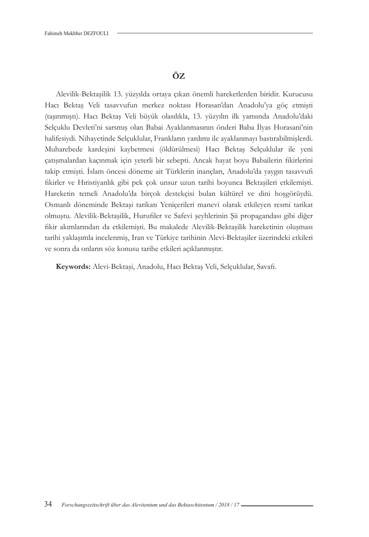## **ÖZ**

Alevilik-Bektaşilik 13. yüzyılda ortaya çıkan önemli hareketlerden biridir. Kurucusu Hacı Bektaş Veli tasavvufun merkez noktası Horasan'dan Anadolu'ya göç etmişti (taşınmıştı). Hacı Bektaş Veli büyük olasılıkla, 13. yüzyılın ilk yarısında Anadolu'daki Selçuklu Devleti'ni sarsmış olan Babai Ayaklanmasının önderi Baba İlyas Horasani'nin halifesiydi. Nihayetinde Selçuklular, Frankların yardımı ile ayaklanmayı bastırabilmişlerdi. Muharebede kardeşini kaybetmesi (öldürülmesi) Hacı Bektaş Selçuklular ile yeni çatışmalardan kaçınmak için yeterli bir sebepti. Ancak hayat boyu Babailerin fikirlerini takip etmişti. İslam öncesi döneme ait Türklerin inançları, Anadolu'da yaygın tasavvufi fikirler ve Hıristiyanlık gibi pek çok unsur uzun tarihi boyunca Bektaşileri etkilemişti. Hareketin temeli Anadolu'da birçok destekçisi bulan kültürel ve dini hoşgörüydü. Osmanlı döneminde Bektaşi tarikatı Yeniçerileri manevi olarak etkileyen resmi tarikat olmuştu. Alevilik-Bektaşilik, Hurufiler ve Safevi şeyhlerinin Şii propagandası gibi diğer fikir akımlarından da etkilemişti. Bu makalede Alevilik-Bektaşilik hareketinin oluşması tarihi yaklaşımla incelenmiş, Iran ve Türkiye tarihinin Alevi-Bektaşiler üzerindeki etkileri ve sonra da onların söz konusu tarihe etkileri açıklanmıştır.

**Keywords:** Alevi-Bektaşi, Anadolu, Hacı Bektaş Veli, Selçuklular, Savafi.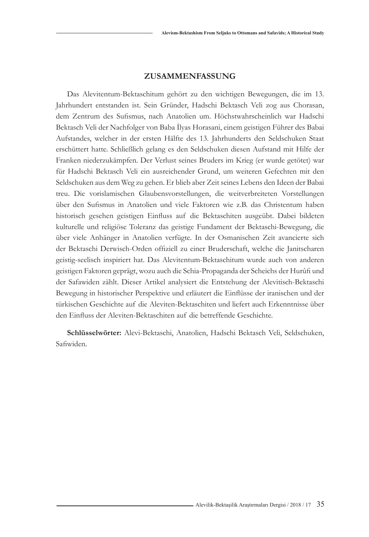### **ZUSAMMENFASSUNG**

Das Alevitentum-Bektaschitum gehört zu den wichtigen Bewegungen, die im 13. Jahrhundert entstanden ist. Sein Gründer, Hadschi Bektasch Veli zog aus Chorasan, dem Zentrum des Sufismus, nach Anatolien um. Höchstwahrscheinlich war Hadschi Bektasch Veli der Nachfolger von Baba İlyas Horasani, einem geistigen Führer des Babai Aufstandes, welcher in der ersten Hälfte des 13. Jahrhunderts den Seldschuken Staat erschüttert hatte. Schließlich gelang es den Seldschuken diesen Aufstand mit Hilfe der Franken niederzukämpfen. Der Verlust seines Bruders im Krieg (er wurde getötet) war für Hadschi Bektasch Veli ein ausreichender Grund, um weiteren Gefechten mit den Seldschuken aus dem Weg zu gehen. Er blieb aber Zeit seines Lebens den Ideen der Babai treu. Die vorislamischen Glaubensvorstellungen, die weitverbreiteten Vorstellungen über den Sufismus in Anatolien und viele Faktoren wie z.B. das Christentum haben historisch gesehen geistigen Einfluss auf die Bektaschiten ausgeübt. Dabei bildeten kulturelle und religiöse Toleranz das geistige Fundament der Bektaschi-Bewegung, die über viele Anhänger in Anatolien verfügte. In der Osmanischen Zeit avancierte sich der Bektaschi Derwisch-Orden offiziell zu einer Bruderschaft, welche die Janitscharen geistig-seelisch inspiriert hat. Das Alevitentum-Bektaschitum wurde auch von anderen geistigen Faktoren geprägt, wozu auch die Schia-Propaganda der Scheichs der Hurûfi und der Safawiden zählt. Dieser Artikel analysiert die Entstehung der Alevitisch-Bektaschi Bewegung in historischer Perspektive und erläutert die Einflüsse der iranischen und der türkischen Geschichte auf die Aleviten-Bektaschiten und liefert auch Erkenntnisse über den Einfluss der Aleviten-Bektaschiten auf die betreffende Geschichte.

**Schlüsselwörter:** Alevi-Bektaschi, Anatolien, Hadschi Bektasch Veli, Seldschuken, Safiwiden.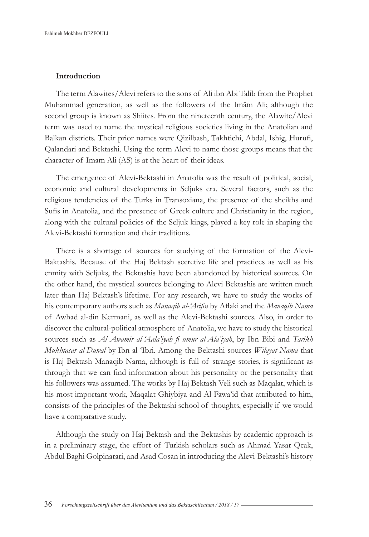#### **Introduction**

The term Alawites/Alevi refers to the sons of Ali ibn Abi Talib from the Prophet Muhammad generation, as well as the followers of the Imām Ali; although the second group is known as Shiites. From the nineteenth century, the Alawite/Alevi term was used to name the mystical religious societies living in the Anatolian and Balkan districts. Their prior names were Qizilbash, Takhtichi, Abdal, Ishig, Hurufi, Qalandari and Bektashi. Using the term Alevi to name those groups means that the character of Imam Ali (AS) is at the heart of their ideas.

The emergence of Alevi-Bektashi in Anatolia was the result of political, social, economic and cultural developments in Seljuks era. Several factors, such as the religious tendencies of the Turks in Transoxiana, the presence of the sheikhs and Sufis in Anatolia, and the presence of Greek culture and Christianity in the region, along with the cultural policies of the Seljuk kings, played a key role in shaping the Alevi-Bektashi formation and their traditions.

There is a shortage of sources for studying of the formation of the Alevi-Baktashis. Because of the Haj Bektash secretive life and practices as well as his enmity with Seljuks, the Bektashis have been abandoned by historical sources. On the other hand, the mystical sources belonging to Alevi Bektashis are written much later than Haj Bektash's lifetime. For any research, we have to study the works of his contemporary authors such as *Manaqib al-'Arifin* by Aflaki and the *Manaqib Nama* of Awhad al-din Kermani, as well as the Alevi-Bektashi sources. Also, in order to discover the cultural-political atmosphere of Anatolia, we have to study the historical sources such as *Al Awamir al-'Aala'iyah fi umur al-Ala'iyah*, by Ibn Bibi and *Tarikh Mukhtasar al-Duwal* by Ibn al-'Ibri. Among the Bektashi sources *Wilayat Nama* that is Haj Bektash Manaqib Nama, although is full of strange stories, is significant as through that we can find information about his personality or the personality that his followers was assumed. The works by Haj Bektash Veli such as Maqalat, which is his most important work, Maqalat Ghiybiya and Al-Fawa'id that attributed to him, consists of the principles of the Bektashi school of thoughts, especially if we would have a comparative study.

Although the study on Haj Bektash and the Bektashis by academic approach is in a preliminary stage, the effort of Turkish scholars such as Ahmad Yasar Qcak, Abdul Baghi Golpinarari, and Asad Cosan in introducing the Alevi-Bektashi's history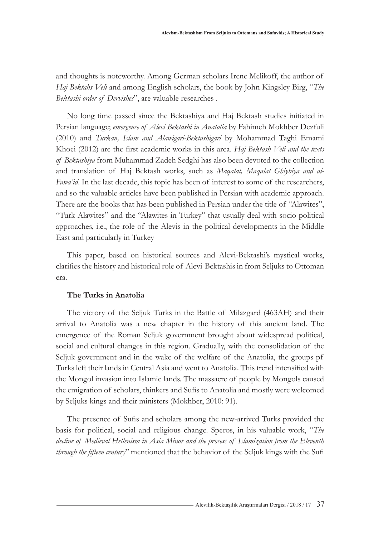and thoughts is noteworthy. Among German scholars Irene Melikoff, the author of *Haj Bektahs Veli* and among English scholars, the book by John Kingsley Birg, "*The Bektashi order of Dervishes*", are valuable researches .

No long time passed since the Bektashiya and Haj Bektash studies initiated in Persian language; *emergence of Alevi Bektashi in Anatolia* by Fahimeh Mokhber Dezfuli (2010) and *Turkan, Islam and Alawigari-Bektashigari* by Mohammad Taghi Emami Khoei (2012) are the first academic works in this area. *Haj Bektash Veli and the texts of Bektashiya* from Muhammad Zadeh Sedghi has also been devoted to the collection and translation of Haj Bektash works, such as *Maqalat, Maqalat Ghiybiya and al-Fawa'id*. In the last decade, this topic has been of interest to some of the researchers, and so the valuable articles have been published in Persian with academic approach. There are the books that has been published in Persian under the title of "Alawites", "Turk Alawites" and the "Alawites in Turkey" that usually deal with socio-political approaches, i.e., the role of the Alevis in the political developments in the Middle East and particularly in Turkey

This paper, based on historical sources and Alevi-Bektashi's mystical works, clarifies the history and historical role of Alevi-Bektashis in from Seljuks to Ottoman era.

#### **The Turks in Anatolia**

The victory of the Seljuk Turks in the Battle of Milazgard (463AH) and their arrival to Anatolia was a new chapter in the history of this ancient land. The emergence of the Roman Seljuk government brought about widespread political, social and cultural changes in this region. Gradually, with the consolidation of the Seljuk government and in the wake of the welfare of the Anatolia, the groups pf Turks left their lands in Central Asia and went to Anatolia. This trend intensified with the Mongol invasion into Islamic lands. The massacre of people by Mongols caused the emigration of scholars, thinkers and Sufis to Anatolia and mostly were welcomed by Seljuks kings and their ministers (Mokhber, 2010: 91).

The presence of Sufis and scholars among the new-arrived Turks provided the basis for political, social and religious change. Speros, in his valuable work, "*The decline of Medieval Hellenism in Asia Minor and the process of Islamization from the Eleventh through the fifteen century*" mentioned that the behavior of the Seljuk kings with the Sufi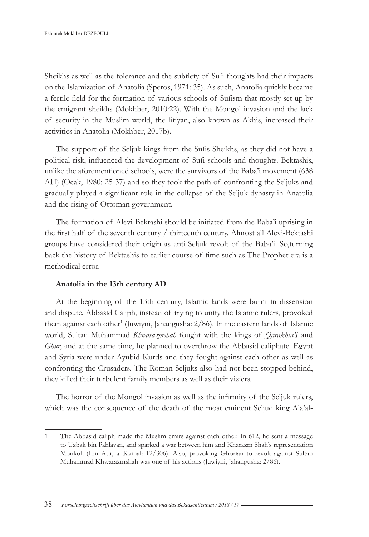Sheikhs as well as the tolerance and the subtlety of Sufi thoughts had their impacts on the Islamization of Anatolia (Speros, 1971: 35). As such, Anatolia quickly became a fertile field for the formation of various schools of Sufism that mostly set up by the emigrant sheikhs (Mokhber, 2010:22). With the Mongol invasion and the lack of security in the Muslim world, the fitiyan, also known as Akhis, increased their activities in Anatolia (Mokhber, 2017b).

The support of the Seljuk kings from the Sufis Sheikhs, as they did not have a political risk, influenced the development of Sufi schools and thoughts. Bektashis, unlike the aforementioned schools, were the survivors of the Baba'i movement (638 AH) (Ocak, 1980: 25-37) and so they took the path of confronting the Seljuks and gradually played a significant role in the collapse of the Seljuk dynasty in Anatolia and the rising of Ottoman government.

The formation of Alevi-Bektashi should be initiated from the Baba'i uprising in the first half of the seventh century / thirteenth century. Almost all Alevi-Bektashi groups have considered their origin as anti-Seljuk revolt of the Baba'i. So,turning back the history of Bektashis to earlier course of time such as The Prophet era is a methodical error.

### **Anatolia in the 13th century AD**

At the beginning of the 13th century, Islamic lands were burnt in dissension and dispute. Abbasid Caliph, instead of trying to unify the Islamic rulers, provoked them against each other<sup>1</sup> (Juwiyni, Jahangusha: 2/86). In the eastern lands of Islamic world, Sultan Muhammad *Khwarazmshah* fought with the kings of *Qarakhta'I* and *Ghur*; and at the same time, he planned to overthrow the Abbasid caliphate. Egypt and Syria were under Ayubid Kurds and they fought against each other as well as confronting the Crusaders. The Roman Seljuks also had not been stopped behind, they killed their turbulent family members as well as their viziers.

The horror of the Mongol invasion as well as the infirmity of the Seljuk rulers, which was the consequence of the death of the most eminent Seljuq king Ala'al-

<sup>1</sup> The Abbasid caliph made the Muslim emirs against each other. In 612, he sent a message to Uzbak bin Pahlavan, and sparked a war between him and Kharazm Shah's representation Monkoli (Ibn Atir, al-Kamal: 12/306). Also, provoking Ghorian to revolt against Sultan Muhammad Khwarazmshah was one of his actions (Juwiyni, Jahangusha: 2/86).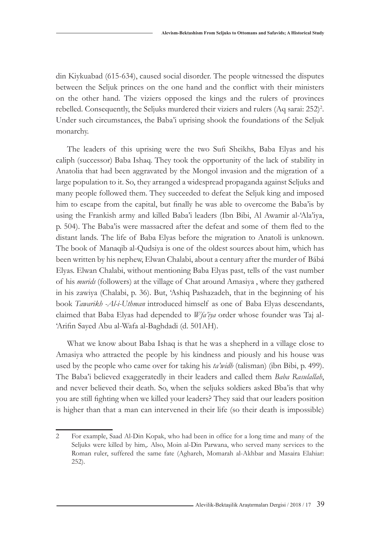din Kiykuabad (615-634), caused social disorder. The people witnessed the disputes between the Seljuk princes on the one hand and the conflict with their ministers on the other hand. The viziers opposed the kings and the rulers of provinces rebelled. Consequently, the Seljuks murdered their viziers and rulers  $(Aq sara: 252)^2$ . Under such circumstances, the Baba'i uprising shook the foundations of the Seljuk monarchy.

The leaders of this uprising were the two Sufi Sheikhs, Baba Elyas and his caliph (successor) Baba Ishaq. They took the opportunity of the lack of stability in Anatolia that had been aggravated by the Mongol invasion and the migration of a large population to it. So, they arranged a widespread propaganda against Seljuks and many people followed them. They succeeded to defeat the Seljuk king and imposed him to escape from the capital, but finally he was able to overcome the Baba'is by using the Frankish army and killed Baba'i leaders (Ibn Bibi, Al Awamir al-'Ala'iya, p. 504). The Baba'is were massacred after the defeat and some of them fled to the distant lands. The life of Baba Elyas before the migration to Anatoli is unknown. The book of Manaqib al-Qudsiya is one of the oldest sources about him, which has been written by his nephew, Elwan Chalabi, about a century after the murder of Bábá Elyas. Elwan Chalabi, without mentioning Baba Elyas past, tells of the vast number of his *murids* (followers) at the village of Chat around Amasiya , where they gathered in his zawiya (Chalabi, p. 36). But, 'Ashiq Pashazadeh, that in the beginning of his book *Tawarikh -Al-i-Uthman* introduced himself as one of Baba Elyas descendants, claimed that Baba Elyas had depended to *Wfa'iya* order whose founder was Taj al- 'Arifin Sayed Abu al-Wafa al-Baghdadi (d. 501AH).

What we know about Baba Ishaq is that he was a shepherd in a village close to Amasiya who attracted the people by his kindness and piously and his house was used by the people who came over for taking his *ta'widh* (talisman) (ibn Bibi, p. 499). The Baba'i believed exaggeratedly in their leaders and called them *Baba Rasulallah*, and never believed their death. So, when the seljuks soldiers asked Bba'is that why you are still fighting when we killed your leaders? They said that our leaders position is higher than that a man can intervened in their life (so their death is impossible)

<sup>2</sup> For example, Saad Al-Din Kopak, who had been in office for a long time and many of the Seljuks were killed by him,. Also, Moin al-Din Parwana, who served many services to the Roman ruler, suffered the same fate (Aghareh, Momarah al-Akhbar and Masaira Elahiar: 252).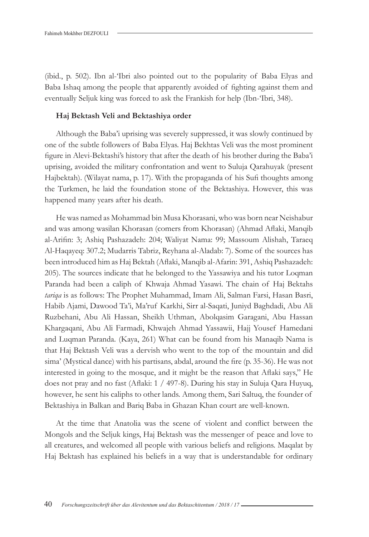(ibid., p. 502). Ibn al-'Ibri also pointed out to the popularity of Baba Elyas and Baba Ishaq among the people that apparently avoided of fighting against them and eventually Seljuk king was forced to ask the Frankish for help (Ibn-'Ibri, 348).

#### **Haj Bektash Veli and Bektashiya order**

Although the Baba'i uprising was severely suppressed, it was slowly continued by one of the subtle followers of Baba Elyas. Haj Bekhtas Veli was the most prominent figure in Alevi-Bektashi's history that after the death of his brother during the Baba'i uprising, avoided the military confrontation and went to Suluja Qarahuyak (present Hajbektah). (Wilayat nama, p. 17). With the propaganda of his Sufi thoughts among the Turkmen, he laid the foundation stone of the Bektashiya. However, this was happened many years after his death.

He was named as Mohammad bin Musa Khorasani, who was born near Neishabur and was among wasilan Khorasan (comers from Khorasan) (Ahmad Aflaki, Manqib al-Arifin: 3; Ashiq Pashazadeh: 204; Waliyat Nama: 99; Massoum Alishah, Taraeq Al-Haqayeq: 307.2; Mudarris Tabriz, Reyhana al-Aladab: 7). Some of the sources has been introduced him as Haj Bektah (Aflaki, Manqib al-Afarin: 391, Ashiq Pashazadeh: 205). The sources indicate that he belonged to the Yassawiya and his tutor Loqman Paranda had been a caliph of Khwaja Ahmad Yasawi. The chain of Haj Bektahs *tariqa* is as follows: The Prophet Muhammad, Imam Ali, Salman Farsi, Hasan Basri, Habib Ajami, Dawood Ta'i, Ma'ruf Karkhi, Sirr al-Saqati, Juniyd Baghdadi, Abu Ali Ruzbehani, Abu Ali Hassan, Sheikh Uthman, Abolqasim Garagani, Abu Hassan Khargaqani, Abu Ali Farmadi, Khwajeh Ahmad Yassawii, Hajj Yousef Hamedani and Luqman Paranda. (Kaya, 261) What can be found from his Manaqib Nama is that Haj Bektash Veli was a dervish who went to the top of the mountain and did sima' (Mystical dance) with his partisans, abdal, around the fire (p. 35-36). He was not interested in going to the mosque, and it might be the reason that Aflaki says," He does not pray and no fast (Aflaki: 1 / 497-8). During his stay in Suluja Qara Huyuq, however, he sent his caliphs to other lands. Among them, Sari Saltuq, the founder of Bektashiya in Balkan and Bariq Baba in Ghazan Khan court are well-known.

At the time that Anatolia was the scene of violent and conflict between the Mongols and the Seljuk kings, Haj Bektash was the messenger of peace and love to all creatures, and welcomed all people with various beliefs and religions. Maqalat by Haj Bektash has explained his beliefs in a way that is understandable for ordinary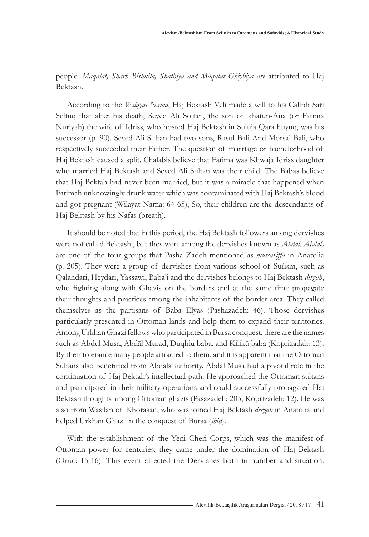people. *Maqalat, Sharh Bislmila, Shathiya and Maqalat Ghiybiya are* attributed to Haj Bektash.

According to the *Wilayat Nama*, Haj Bektash Veli made a will to his Caliph Sari Seltuq that after his death, Seyed Ali Soltan, the son of khatun-Ana (or Fatima Nuriyah) the wife of Idriss, who hosted Haj Bektash in Suluja Qara huyuq, was his successor (p. 90). Seyed Ali Sultan had two sons, Rasul Bali And Morsal Bali, who respectively succeeded their Father. The question of marriage or bachelorhood of Haj Bektash caused a split. Chalabis believe that Fatima was Khwaja Idriss daughter who married Haj Bektash and Seyed Ali Sultan was their child. The Babas believe that Haj Bektah had never been married, but it was a miracle that happened when Fatimah unknowingly drunk water which was contaminated with Haj Bektash's blood and got pregnant (Wilayat Nama: 64-65), So, their children are the descendants of Haj Bektash by his Nafas (breath).

It should be noted that in this period, the Haj Bektash followers among dervishes were not called Bektashi, but they were among the dervishes known as *Abdal*. *Abdals* are one of the four groups that Pasha Zadeh mentioned as *mutsaviffa* in Anatolia (p. 205). They were a group of dervishes from various school of Sufism, such as Qalandari, Heydari, Yassawi, Baba'i and the dervishes belongs to Haj Bektash *dirgah*, who fighting along with Ghazis on the borders and at the same time propagate their thoughts and practices among the inhabitants of the border area. They called themselves as the partisans of Baba Elyas (Pashazadeh: 46). Those dervishes particularly presented in Ottoman lands and help them to expand their territories. Among Urkhan Ghazi fellows who participated in Bursa conquest, there are the names such as Abdul Musa, Abdāl Murad, Duqhlu baba, and Kilikū baba (Koprizadah: 13). By their tolerance many people attracted to them, and it is apparent that the Ottoman Sultans also benefitted from Abdals authority. Abdal Musa had a pivotal role in the continuation of Haj Bektah's intellectual path. He approached the Ottoman sultans and participated in their military operations and could successfully propagated Haj Bektash thoughts among Ottoman ghazis (Pasazadeh: 205; Koprizadeh: 12). He was also from Wasilan of Khorasan, who was joined Haj Bektash *dergah* in Anatolia and helped Urkhan Ghazi in the conquest of Bursa (*ibid*).

With the establishment of the Yeni Cheri Corps, which was the manifest of Ottoman power for centuries, they came under the domination of Haj Bektash (Oruc: 15-16). This event affected the Dervishes both in number and situation.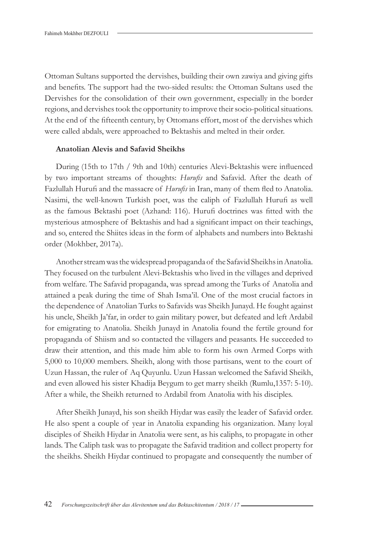Ottoman Sultans supported the dervishes, building their own zawiya and giving gifts and benefits. The support had the two-sided results: the Ottoman Sultans used the Dervishes for the consolidation of their own government, especially in the border regions, and dervishes took the opportunity to improve their socio-political situations. At the end of the fifteenth century, by Ottomans effort, most of the dervishes which were called abdals, were approached to Bektashis and melted in their order.

### **Anatolian Alevis and Safavid Sheikhs**

During (15th to 17th / 9th and 10th) centuries Alevi-Bektashis were influenced by two important streams of thoughts: *Hurufis* and Safavid. After the death of Fazlullah Hurufi and the massacre of *Hurufis* in Iran, many of them fled to Anatolia. Nasimi, the well-known Turkish poet, was the caliph of Fazlullah Hurufi as well as the famous Bektashi poet (Azhand: 116). Hurufi doctrines was fitted with the mysterious atmosphere of Bektashis and had a significant impact on their teachings, and so, entered the Shiites ideas in the form of alphabets and numbers into Bektashi order (Mokhber, 2017a).

Another stream was the widespread propaganda of the Safavid Sheikhs in Anatolia. They focused on the turbulent Alevi-Bektashis who lived in the villages and deprived from welfare. The Safavid propaganda, was spread among the Turks of Anatolia and attained a peak during the time of Shah Isma'il. One of the most crucial factors in the dependence of Anatolian Turks to Safavids was Sheikh Junayd. He fought against his uncle, Sheikh Ja'far, in order to gain military power, but defeated and left Ardabil for emigrating to Anatolia. Sheikh Junayd in Anatolia found the fertile ground for propaganda of Shiism and so contacted the villagers and peasants. He succeeded to draw their attention, and this made him able to form his own Armed Corps with 5,000 to 10,000 members. Sheikh, along with those partisans, went to the court of Uzun Hassan, the ruler of Aq Quyunlu. Uzun Hassan welcomed the Safavid Sheikh, and even allowed his sister Khadija Beygum to get marry sheikh (Rumlu,1357: 5-10). After a while, the Sheikh returned to Ardabil from Anatolia with his disciples.

After Sheikh Junayd, his son sheikh Hiydar was easily the leader of Safavid order. He also spent a couple of year in Anatolia expanding his organization. Many loyal disciples of Sheikh Hiydar in Anatolia were sent, as his caliphs, to propagate in other lands. The Caliph task was to propagate the Safavid tradition and collect property for the sheikhs. Sheikh Hiydar continued to propagate and consequently the number of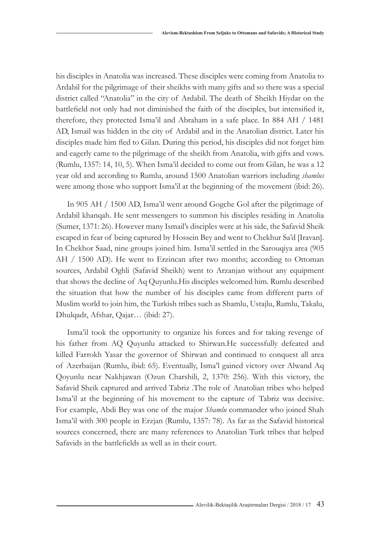his disciples in Anatolia was increased. These disciples were coming from Anatolia to Ardabil for the pilgrimage of their sheikhs with many gifts and so there was a special district called "Anatolia" in the city of Ardabil. The death of Sheikh Hiydar on the battlefield not only had not diminished the faith of the disciples, but intensified it, therefore, they protected Isma'il and Abraham in a safe place. In 884 AH / 1481 AD, Ismail was hidden in the city of Ardabil and in the Anatolian district. Later his disciples made him fled to Gilan. During this period, his disciples did not forget him and eagerly came to the pilgrimage of the sheikh from Anatolia, with gifts and vows. (Rumlu, 1357: 14, 10, 5). When Isma'il decided to come out from Gilan, he was a 12 year old and according to Rumlu, around 1500 Anatolian warriors including *shamlus*  were among those who support Isma'il at the beginning of the movement (ibid: 26).

In 905 AH / 1500 AD, Isma'il went around Gogche Gol after the pilgrimage of Ardabil khanqah. He sent messengers to summon his disciples residing in Anatolia (Sumer, 1371: 26). However many Ismail's disciples were at his side, the Safavid Sheik escaped in fear of being captured by Hossein Bey and went to Chekhur Sa'd [Iravan]. In Chekhor Saad, nine groups joined him. Isma'il settled in the Sarouqiya area (905 AH / 1500 AD). He went to Erzincan after two months; according to Ottoman sources, Ardabil Oghli (Safavid Sheikh) went to Arzanjan without any equipment that shows the decline of Aq Quyunlu.His disciples welcomed him. Rumlu described the situation that how the number of his disciples came from different parts of Muslim world to join him, the Turkish tribes such as Shamlu, Ustajlu, Rumlu, Takalu, Dhulqadr, Afshar, Qajar… (ibid: 27).

Isma'il took the opportunity to organize his forces and for taking revenge of his father from AQ Quyunlu attacked to Shirwan.He successfully defeated and killed Farrokh Yasar the governor of Shirwan and continued to conquest all area of Azerbaijan (Rumlu, ibid: 65). Eventually, Isma'l gained victory over Alwand Aq Qoyunlu near Nakhjawan (Ozun Charshili, 2, 1370: 256). With this victory, the Safavid Sheik captured and arrived Tabriz .The role of Anatolian tribes who helped Isma'il at the beginning of his movement to the capture of Tabriz was decisive. For example, Abdi Bey was one of the major *Shamlu* commander who joined Shah Isma'il with 300 people in Erzjan (Rumlu, 1357: 78). As far as the Safavid historical sources concerned, there are many references to Anatolian Turk tribes that helped Safavids in the battlefields as well as in their court.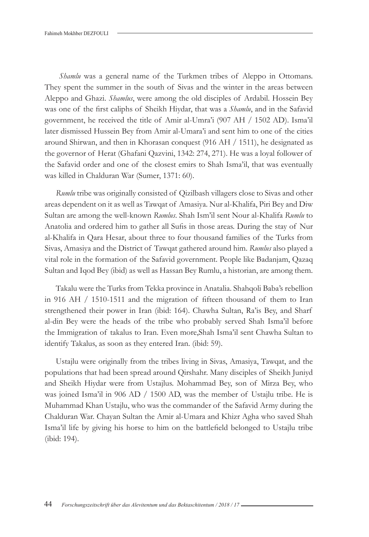*Shamlu* was a general name of the Turkmen tribes of Aleppo in Ottomans. They spent the summer in the south of Sivas and the winter in the areas between Aleppo and Ghazi. *Shamlus*, were among the old disciples of Ardabil. Hossein Bey was one of the first caliphs of Sheikh Hiydar, that was a *Shamlu*, and in the Safavid government, he received the title of Amir al-Umra'i (907 AH / 1502 AD). Isma'il later dismissed Hussein Bey from Amir al-Umara'i and sent him to one of the cities around Shirwan, and then in Khorasan conquest (916 AH / 1511), he designated as the governor of Herat (Ghafani Qazvini, 1342: 274, 271). He was a loyal follower of the Safavid order and one of the closest emirs to Shah Isma'il, that was eventually was killed in Chalduran War (Sumer, 1371: 60).

*Rumlu* tribe was originally consisted of Qizilbash villagers close to Sivas and other areas dependent on it as well as Tawqat of Amasiya. Nur al-Khalifa, Piri Bey and Diw Sultan are among the well-known *Rumlus*. Shah Ism'il sent Nour al-Khalifa *Rumlu* to Anatolia and ordered him to gather all Sufis in those areas. During the stay of Nur al-Khalifa in Qara Hesar, about three to four thousand families of the Turks from Sivas, Amasiya and the District of Tawqat gathered around him. *Rumlus* also played a vital role in the formation of the Safavid government. People like Badanjam, Qazaq Sultan and Iqod Bey (ibid) as well as Hassan Bey Rumlu, a historian, are among them.

Takalu were the Turks from Tekka province in Anatalia. Shahqoli Baba's rebellion in 916 AH / 1510-1511 and the migration of fifteen thousand of them to Iran strengthened their power in Iran (ibid: 164). Chawha Sultan, Ra'is Bey, and Sharf al-din Bey were the heads of the tribe who probably served Shah Isma'il before the Immigration of takalus to Iran. Even more,Shah Isma'il sent Chawha Sultan to identify Takalus, as soon as they entered Iran. (ibid: 59).

Ustajlu were originally from the tribes living in Sivas, Amasiya, Tawqat, and the populations that had been spread around Qirshahr. Many disciples of Sheikh Juniyd and Sheikh Hiydar were from Ustajlus. Mohammad Bey, son of Mirza Bey, who was joined Isma'il in 906 AD / 1500 AD, was the member of Ustajlu tribe. He is Muhammad Khan Ustajlu, who was the commander of the Safavid Army during the Chalduran War. Chayan Sultan the Amir al-Umara and Khizr Agha who saved Shah Isma'il life by giving his horse to him on the battlefield belonged to Ustajlu tribe (ibid: 194).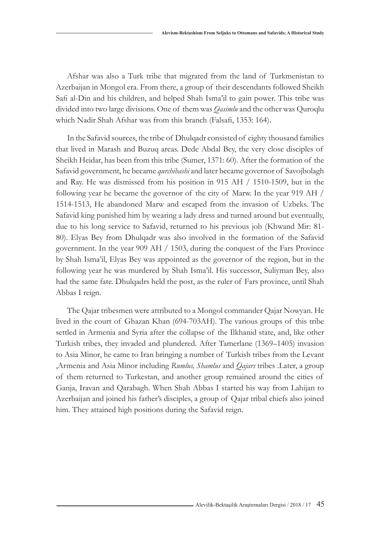Afshar was also a Turk tribe that migrated from the land of Turkmenistan to Azerbaijan in Mongol era. From there, a group of their descendants followed Sheikh Safi al-Din and his children, and helped Shah Isma'il to gain power. This tribe was divided into two large divisions. One of them was *Qasimlu* and the other was Quroqlu which Nadir Shah Afshar was from this branch (Falsafi, 1353: 164).

In the Safavid sources, the tribe of Dhulqadr consisted of eighty thousand families that lived in Marash and Buzuq areas. Dede Abdal Bey, the very close disciples of Sheikh Heidar, has been from this tribe (Sumer, 1371: 60). After the formation of the Safavid government, he became *qurchibashi* and later became governor of Savojbolagh and Ray. He was dismissed from his position in 915 AH / 1510-1509, but in the following year he became the governor of the city of Marw. In the year 919 AH / 1514-1513, He abandoned Marw and escaped from the invasion of Uzbeks. The Safavid king punished him by wearing a lady dress and turned around but eventually, due to his long service to Safavid, returned to his previous job (Khwand Mir: 81- 80). Elyas Bey from Dhulqadr was also involved in the formation of the Safavid government. In the year 909 AH / 1503, during the conquest of the Fars Province by Shah Isma'il, Elyas Bey was appointed as the governor of the region, but in the following year he was murdered by Shah Isma'il. His successor, Suliyman Bey, also had the same fate. Dhulqadrs held the post, as the ruler of Fars province, until Shah Abbas I reign.

The Qajar tribesmen were attributed to a Mongol commander Qajar Nowyan. He lived in the court of Ghazan Khan (694-703AH). The various groups of this tribe settled in Armenia and Syria after the collapse of the Ilkhanid state, and, like other Turkish tribes, they invaded and plundered. After Tamerlane (1369–1405) invasion to Asia Minor, he came to Iran bringing a number of Turkish tribes from the Levant ,Armenia and Asia Minor including *Rumlus, Shamlus* and *Qajars* tribes .Later, a group of them returned to Turkestan, and another group remained around the cities of Ganja, Iravan and Qarabagh. When Shah Abbas I started his way from Lahijan to Azerbaijan and joined his father's disciples, a group of Qajar tribal chiefs also joined him. They attained high positions during the Safavid reign.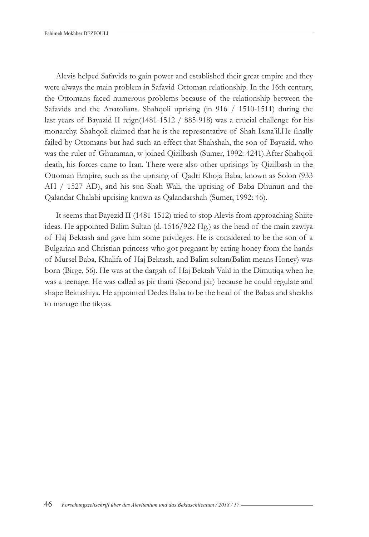Alevis helped Safavids to gain power and established their great empire and they were always the main problem in Safavid-Ottoman relationship. In the 16th century, the Ottomans faced numerous problems because of the relationship between the Safavids and the Anatolians. Shahqoli uprising (in 916 / 1510-1511) during the last years of Bayazid II reign(1481-1512 / 885-918) was a crucial challenge for his monarchy. Shahqoli claimed that he is the representative of Shah Isma'il.He finally failed by Ottomans but had such an effect that Shahshah, the son of Bayazid, who was the ruler of Ghuraman, w joined Qizilbash (Sumer, 1992: 4241).After Shahqoli death, his forces came to Iran. There were also other uprisings by Qizilbash in the Ottoman Empire, such as the uprising of Qadri Khoja Baba, known as Solon (933 AH / 1527 AD), and his son Shah Wali, the uprising of Baba Dhunun and the Qalandar Chalabi uprising known as Qalandarshah (Sumer, 1992: 46).

It seems that Bayezid II (1481-1512) tried to stop Alevis from approaching Shiite ideas. He appointed Balim Sultan (d. 1516/922 Hg.) as the head of the main zawiya of Haj Bektash and gave him some privileges. He is considered to be the son of a Bulgarian and Christian princess who got pregnant by eating honey from the hands of Mursel Baba, Khalifa of Haj Bektash, and Balim sultan(Balim means Honey) was born (Birge, 56). He was at the dargah of Haj Bektah Vahī in the Dimutiqa when he was a teenage. He was called as pir thani (Second pir) because he could regulate and shape Bektashiya. He appointed Dedes Baba to be the head of the Babas and sheikhs to manage the tikyas.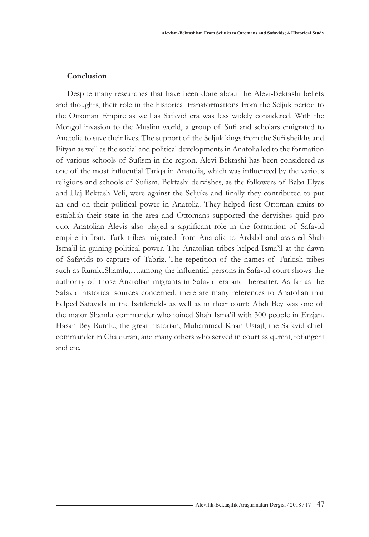### **Conclusion**

Despite many researches that have been done about the Alevi-Bektashi beliefs and thoughts, their role in the historical transformations from the Seljuk period to the Ottoman Empire as well as Safavid era was less widely considered. With the Mongol invasion to the Muslim world, a group of Sufi and scholars emigrated to Anatolia to save their lives. The support of the Seljuk kings from the Sufi sheikhs and Fityan as well as the social and political developments in Anatolia led to the formation of various schools of Sufism in the region. Alevi Bektashi has been considered as one of the most influential Tariqa in Anatolia, which was influenced by the various religions and schools of Sufism. Bektashi dervishes, as the followers of Baba Elyas and Haj Bektash Veli, were against the Seljuks and finally they contributed to put an end on their political power in Anatolia. They helped first Ottoman emirs to establish their state in the area and Ottomans supported the dervishes quid pro quo. Anatolian Alevis also played a significant role in the formation of Safavid empire in Iran. Turk tribes migrated from Anatolia to Ardabil and assisted Shah Isma'il in gaining political power. The Anatolian tribes helped Isma'il at the dawn of Safavids to capture of Tabriz. The repetition of the names of Turkish tribes such as Rumlu,Shamlu,….among the influential persons in Safavid court shows the authority of those Anatolian migrants in Safavid era and thereafter. As far as the Safavid historical sources concerned, there are many references to Anatolian that helped Safavids in the battlefields as well as in their court: Abdi Bey was one of the major Shamlu commander who joined Shah Isma'il with 300 people in Erzjan. Hasan Bey Rumlu, the great historian, Muhammad Khan Ustajl, the Safavid chief commander in Chalduran, and many others who served in court as qurchi, tofangchi and etc.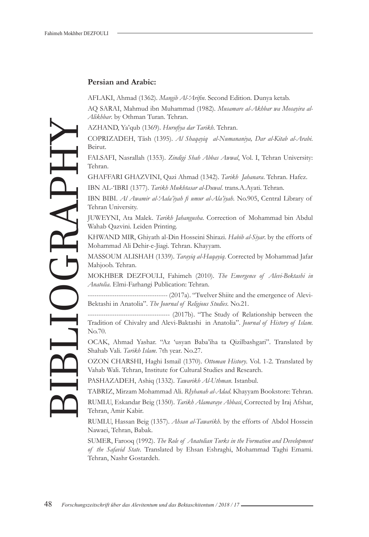#### **Persian and Arabic:**

AFLAKI, Ahmad (1362). *Mangib Al-'Arifin*. Second Edition. Dunya ketab.

AQ SARAI, Mahmud ibn Muhammad (1982). *Musamare al-Akhbar wa Mosayira al-Alikhbar*. by Othman Turan. Tehran.

AZHAND, Ya'qub (1369). *Hurufiya dar Tarikh*. Tehran.

COPRIZADEH, Tāsh (1395). *Al Shaqayiq al-Numananiya, Dar al-Kitab al-Arabi*. Beirut.

FALSAFI, Nasrallah (1353). *Zindigi Shah Abbas Awwal*, Vol. I, Tehran University: Tehran.

GHAFFARI GHAZVINI, Qazi Ahmad (1342). *Tarikh Jahanara*. Tehran. Hafez.

IBN AL-'IBRI (1377). *Tarikh Mukhtasar al-Duwal*. trans.A.Ayati. Tehran.

IBN BIBI. *Al Awamir al-'Aala'iyah fi umur al-Ala'iyah*. No.905, Central Library of Tehran University.

JUWEYNI, Ata Malek. *Tarikh Jahangusha*. Correction of Mohammad bin Abdul Wahab Qazvini. Leiden Printing.

KHWAND MIR, Ghiyath al-Din Hosseini Shirazi. *Habib al-Siyar*. by the efforts of Mohammad Ali Dehir-e-Jiagi. Tehran. Khayyam.

MASSOUM ALISHAH (1339). *Tarayiq al-Haqayiq*. Corrected by Mohammad Jafar Mahjoob. Tehran.

MOKHBER DEZFOULI, Fahimeh (2010). *The Emergence of Alevi-Bektashi in Anatolia*. Elmi-Farhangi Publication: Tehran.

------------------------------------ (2017a). "Twelver Shiite and the emergence of Alevi-Bektashi in Anatolia". *The Journal of Religious Studies*. No.21.

------------------------------------- (2017b). "The Study of Relationship between the Tradition of Chivalry and Alevi-Baktashi in Anatolia". *Journal of History of Islam*. No.70.

OCAK, Ahmad Yashar. "Az 'usyan Baba'iha ta Qizilbashgari". Translated by Shahab Vali. *Tarikh Islam*. 7th year. No.27.

OZON CHARSHI, Haghi Ismail (1370). *Ottoman History*. Vol. 1-2. Translated by Vahab Wali. Tehran, Institute for Cultural Studies and Research.

PASHAZADEH, Ashiq (1332). *Tawarikh Al-Uthman*. Istanbul.

TABRIZ, Mirzam Mohammad Ali. *RIyhanah al-Adad*. Khayyam Bookstore: Tehran. RUMLU, Eskandar Beig (1350). *Tarikh Alamaraye Abbasi*, Corrected by Iraj Afshar, Tehran, Amir Kabir.

RUMLU, Hassan Beig (1357). *Ahsan al-Tawarikh*. by the efforts of Abdol Hossein Nawaei, Tehran, Babak.

SUMER, Farooq (1992). *The Role of Anatolian Turks in the Formation and Development of the Safavid State*. Translated by Ehsan Eshraghi, Mohammad Taghi Emami. Tehran, Nashr Gostardeh.

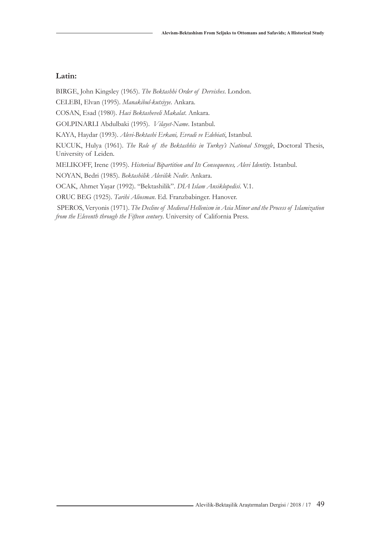### **Latin:**

BIRGE, John Kingsley (1965). *The Bektashhi Order of Dervishes*. London.

CELEBI, Elvan (1995). *Manakibul-kutsiyye*. Ankara.

COSAN, Esad (1980). *Haci Bektasheveli Makalat*. Ankara.

GOLPINARLI Abdulbaki (1995). *Vilayet-Name*. Istanbul.

KAYA, Haydar (1993). *Alevi-Bektashi Erkani, Evradi ve Edebiati*, Istanbul.

KUCUK, Hulya (1961). *The Role of the Bektashhis in Turkey's National Struggle*, Doctoral Thesis, University of Leiden.

MELIKOFF, Irene (1995). *Historical Bipartition and Its Consequences, Alevi Identity*. Istanbul.

NOYAN, Bedri (1985). *Bektashilik Alevilik Nedir*. Ankara.

OCAK, Ahmet Yaşar (1992). "Bektashilik". *DIA Islam Ansiklopedisi*. V.1.

ORUC BEG (1925). *Tarihi Aliosman*. Ed. Franzbabinger. Hanover.

 SPEROS, Veryonis (1971). *The Decline of Medieval Hellenism in Asia Minor and the Process of Islamization from the Eleventh through the Fifteen century*. University of California Press.